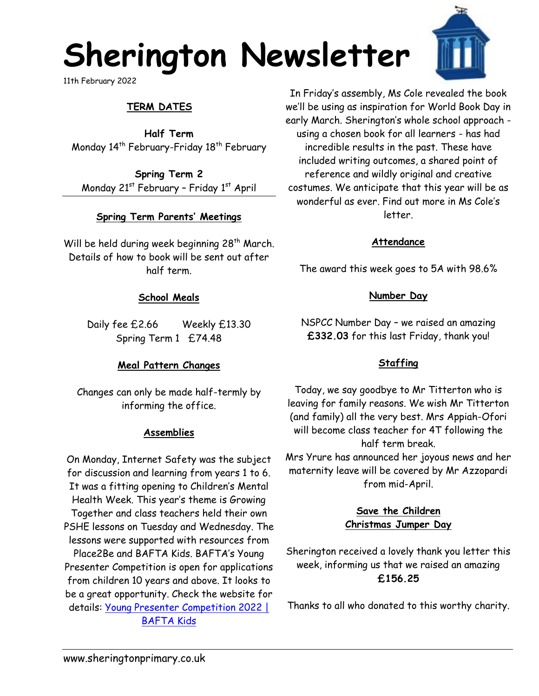# **Sherington Newsletter**

11th February 2022

# **TERM DATES**

**Half Term** Monday 14<sup>th</sup> February-Friday 18<sup>th</sup> February

**Spring Term 2** Monday 21<sup>st</sup> February - Friday 1<sup>st</sup> April

# **Spring Term Parents' Meetings**

Will be held during week beginning 28<sup>th</sup> March. Details of how to book will be sent out after half term.

#### **School Meals**

Daily fee £2.66 Weekly £13.30 Spring Term 1 £74.48

# **Meal Pattern Changes**

Changes can only be made half-termly by informing the office.

#### **Assemblies**

On Monday, Internet Safety was the subject for discussion and learning from years 1 to 6. It was a fitting opening to Children's Mental Health Week. This year's theme is Growing Together and class teachers held their own PSHE lessons on Tuesday and Wednesday. The lessons were supported with resources from Place2Be and BAFTA Kids. BAFTA's Young Presenter Competition is open for applications from children 10 years and above. It looks to be a great opportunity. Check the website for details: [Young Presenter Competition 2022 |](http://www.baftakids.org/competitions/young-presenter-competition-2022)  [BAFTA Kids](http://www.baftakids.org/competitions/young-presenter-competition-2022)



In Friday's assembly, Ms Cole revealed the book we'll be using as inspiration for World Book Day in early March. Sherington's whole school approach using a chosen book for all learners - has had incredible results in the past. These have included writing outcomes, a shared point of reference and wildly original and creative costumes. We anticipate that this year will be as wonderful as ever. Find out more in Ms Cole's letter.

#### **Attendance**

The award this week goes to 5A with 98.6%

#### **Number Day**

NSPCC Number Day – we raised an amazing **£332.03** for this last Friday, thank you!

#### **Staffing**

Today, we say goodbye to Mr Titterton who is leaving for family reasons. We wish Mr Titterton (and family) all the very best. Mrs Appiah-Ofori will become class teacher for 4T following the half term break.

Mrs Yrure has announced her joyous news and her maternity leave will be covered by Mr Azzopardi from mid-April.

# **Save the Children Christmas Jumper Day**

Sherington received a lovely thank you letter this week, informing us that we raised an amazing **£156.25**

Thanks to all who donated to this worthy charity.